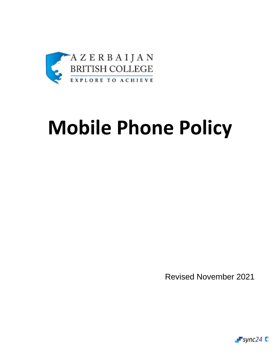

## **Mobile Phone Policy**

Revised November 2021

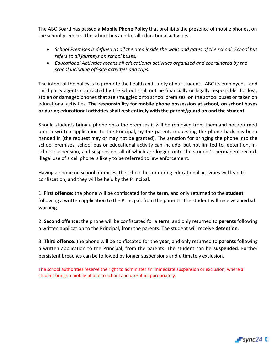The ABC Board has passed a **Mobile Phone Policy** that prohibits the presence of mobile phones, on the school premises, the school bus and for all educational activities.

- *School Premises is defined as all the area inside the walls and gates of the school. School bus refers to all journeys on school buses.*
- *Educational Activities means all educational activities organised and coordinated by the school including off-site activities and trips.*

The intent of the policy is to promote the health and safety of our students. ABC its employees, and third party agents contracted by the school shall not be financially or legally responsible for lost, stolen or damaged phones that are smuggled onto school premises, on the school buses or taken on educational activities. **The responsibility for mobile phone possession at school, on school buses or during educational activities shall rest entirely with the parent/guardian and the student.** 

Should students bring a phone onto the premises it will be removed from them and not returned until a written application to the Principal, by the parent, requesting the phone back has been handed in (the request may or may not be granted). The sanction for bringing the phone into the school premises, school bus or educational activity can include, but not limited to, detention, inschool suspension, and suspension, all of which are logged onto the student's permanent record. Illegal use of a cell phone is likely to be referred to law enforcement.

Having a phone on school premises, the school bus or during educational activities will lead to confiscation, and they will be held by the Principal.

1. **First offence:** the phone will be confiscated for the **term**, and only returned to the **student**  following a written application to the Principal, from the parents. The student will receive a **verbal warning**.

2. **Second offence:** the phone will be confiscated for a **term**, and only returned to **parents** following a written application to the Principal, from the parents. The student will receive **detention**.

3. **Third offence:** the phone will be confiscated for the **year,** and only returned to **parents** following a written application to the Principal, from the parents. The student can be **suspended**. Further persistent breaches can be followed by longer suspensions and ultimately exclusion.

The school authorities reserve the right to administer an immediate suspension or exclusion, where a student brings a mobile phone to school and uses it inappropriately.